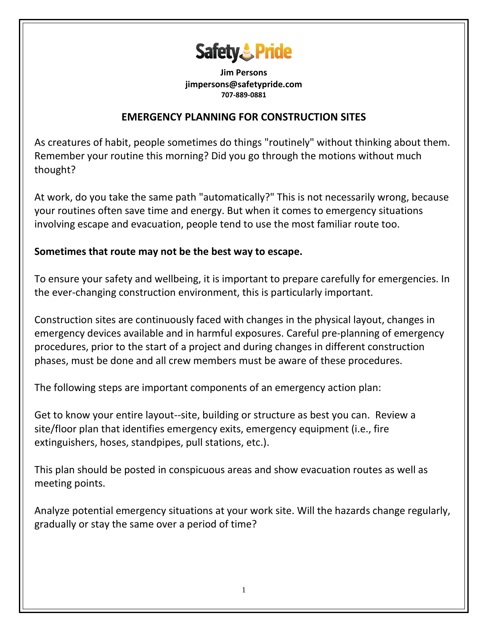

**Jim Persons jimpersons@safetypride.com 707-889-0881**

## **EMERGENCY PLANNING FOR CONSTRUCTION SITES**

As creatures of habit, people sometimes do things "routinely" without thinking about them. Remember your routine this morning? Did you go through the motions without much thought?

At work, do you take the same path "automatically?" This is not necessarily wrong, because your routines often save time and energy. But when it comes to emergency situations involving escape and evacuation, people tend to use the most familiar route too.

## **Sometimes that route may not be the best way to escape.**

To ensure your safety and wellbeing, it is important to prepare carefully for emergencies. In the ever-changing construction environment, this is particularly important.

Construction sites are continuously faced with changes in the physical layout, changes in emergency devices available and in harmful exposures. Careful pre-planning of emergency procedures, prior to the start of a project and during changes in different construction phases, must be done and all crew members must be aware of these procedures.

The following steps are important components of an emergency action plan:

Get to know your entire layout--site, building or structure as best you can. Review a site/floor plan that identifies emergency exits, emergency equipment (i.e., fire extinguishers, hoses, standpipes, pull stations, etc.).

This plan should be posted in conspicuous areas and show evacuation routes as well as meeting points.

Analyze potential emergency situations at your work site. Will the hazards change regularly, gradually or stay the same over a period of time?